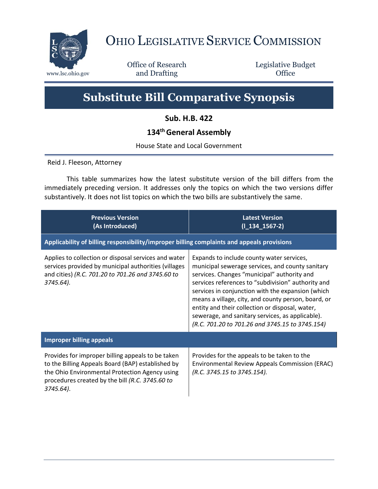

## OHIO LEGISLATIVE SERVICE COMMISSION

Office of Research www.lsc.ohio.gov **and Drafting Office** 

Legislative Budget

## **Substitute Bill Comparative Synopsis**

**Sub. H.B. 422**

## **134thGeneral Assembly**

House State and Local Government

Reid J. Fleeson, Attorney

This table summarizes how the latest substitute version of the bill differs from the immediately preceding version. It addresses only the topics on which the two versions differ substantively. It does not list topics on which the two bills are substantively the same.

| <b>Previous Version</b><br>(As Introduced)                                                                                                                                                                               | <b>Latest Version</b><br>$(I_134_1567-2)$                                                                                                                                                                                                                                                                                                                                                                                                                                |  |
|--------------------------------------------------------------------------------------------------------------------------------------------------------------------------------------------------------------------------|--------------------------------------------------------------------------------------------------------------------------------------------------------------------------------------------------------------------------------------------------------------------------------------------------------------------------------------------------------------------------------------------------------------------------------------------------------------------------|--|
| Applicability of billing responsibility/improper billing complaints and appeals provisions                                                                                                                               |                                                                                                                                                                                                                                                                                                                                                                                                                                                                          |  |
| Applies to collection or disposal services and water<br>services provided by municipal authorities (villages<br>and cities) (R.C. 701.20 to 701.26 and 3745.60 to<br>3745.64).                                           | Expands to include county water services,<br>municipal sewerage services, and county sanitary<br>services. Changes "municipal" authority and<br>services references to "subdivision" authority and<br>services in conjunction with the expansion (which<br>means a village, city, and county person, board, or<br>entity and their collection or disposal, water,<br>sewerage, and sanitary services, as applicable).<br>(R.C. 701.20 to 701.26 and 3745.15 to 3745.154) |  |
| <b>Improper billing appeals</b>                                                                                                                                                                                          |                                                                                                                                                                                                                                                                                                                                                                                                                                                                          |  |
| Provides for improper billing appeals to be taken<br>to the Billing Appeals Board (BAP) established by<br>the Ohio Environmental Protection Agency using<br>procedures created by the bill (R.C. 3745.60 to<br>3745.64). | Provides for the appeals to be taken to the<br>Environmental Review Appeals Commission (ERAC)<br>(R.C. 3745.15 to 3745.154).                                                                                                                                                                                                                                                                                                                                             |  |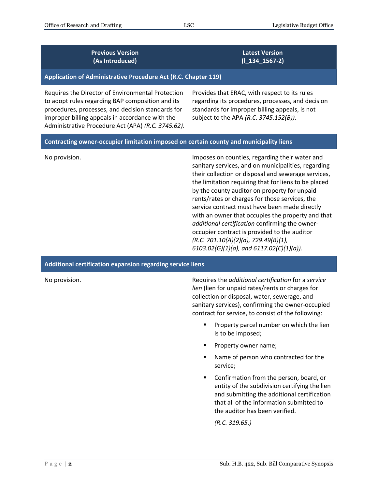| <b>Previous Version</b><br>(As Introduced)                                                                                                                                                                                                                          | <b>Latest Version</b><br>$(I_134_1567-2)$                                                                                                                                                                                                                                                                                                                                                                                                                                                                                                                                                                                                                                       |  |
|---------------------------------------------------------------------------------------------------------------------------------------------------------------------------------------------------------------------------------------------------------------------|---------------------------------------------------------------------------------------------------------------------------------------------------------------------------------------------------------------------------------------------------------------------------------------------------------------------------------------------------------------------------------------------------------------------------------------------------------------------------------------------------------------------------------------------------------------------------------------------------------------------------------------------------------------------------------|--|
| Application of Administrative Procedure Act (R.C. Chapter 119)                                                                                                                                                                                                      |                                                                                                                                                                                                                                                                                                                                                                                                                                                                                                                                                                                                                                                                                 |  |
| Requires the Director of Environmental Protection<br>to adopt rules regarding BAP composition and its<br>procedures, processes, and decision standards for<br>improper billing appeals in accordance with the<br>Administrative Procedure Act (APA) (R.C. 3745.62). | Provides that ERAC, with respect to its rules<br>regarding its procedures, processes, and decision<br>standards for improper billing appeals, is not<br>subject to the APA (R.C. 3745.152(B)).                                                                                                                                                                                                                                                                                                                                                                                                                                                                                  |  |
| Contracting owner-occupier limitation imposed on certain county and municipality liens                                                                                                                                                                              |                                                                                                                                                                                                                                                                                                                                                                                                                                                                                                                                                                                                                                                                                 |  |
| No provision.                                                                                                                                                                                                                                                       | Imposes on counties, regarding their water and<br>sanitary services, and on municipalities, regarding<br>their collection or disposal and sewerage services,<br>the limitation requiring that for liens to be placed<br>by the county auditor on property for unpaid<br>rents/rates or charges for those services, the<br>service contract must have been made directly<br>with an owner that occupies the property and that<br>additional certification confirming the owner-<br>occupier contract is provided to the auditor<br>(R.C. 701.10(A)(2)(a), 729.49(B)(1),<br>$6103.02(G)(1)(a)$ , and $6117.02(C)(1)(a)$ ).                                                        |  |
| Additional certification expansion regarding service liens                                                                                                                                                                                                          |                                                                                                                                                                                                                                                                                                                                                                                                                                                                                                                                                                                                                                                                                 |  |
| No provision.                                                                                                                                                                                                                                                       | Requires the additional certification for a service<br>lien (lien for unpaid rates/rents or charges for<br>collection or disposal, water, sewerage, and<br>sanitary services), confirming the owner-occupied<br>contract for service, to consist of the following:<br>Property parcel number on which the lien<br>п<br>is to be imposed;<br>Property owner name;<br>٠<br>Name of person who contracted for the<br>٠<br>service;<br>Confirmation from the person, board, or<br>٠<br>entity of the subdivision certifying the lien<br>and submitting the additional certification<br>that all of the information submitted to<br>the auditor has been verified.<br>(R.C. 319.65.) |  |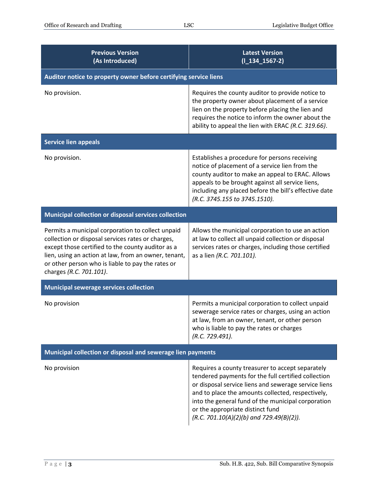| <b>Previous Version</b><br>(As Introduced)                                                                                                                                                                                                                                                          | <b>Latest Version</b><br>$(I_134_1567-2)$                                                                                                                                                                                                                                                                                                                    |  |
|-----------------------------------------------------------------------------------------------------------------------------------------------------------------------------------------------------------------------------------------------------------------------------------------------------|--------------------------------------------------------------------------------------------------------------------------------------------------------------------------------------------------------------------------------------------------------------------------------------------------------------------------------------------------------------|--|
| Auditor notice to property owner before certifying service liens                                                                                                                                                                                                                                    |                                                                                                                                                                                                                                                                                                                                                              |  |
| No provision.                                                                                                                                                                                                                                                                                       | Requires the county auditor to provide notice to<br>the property owner about placement of a service<br>lien on the property before placing the lien and<br>requires the notice to inform the owner about the<br>ability to appeal the lien with ERAC (R.C. 319.66).                                                                                          |  |
| <b>Service lien appeals</b>                                                                                                                                                                                                                                                                         |                                                                                                                                                                                                                                                                                                                                                              |  |
| No provision.                                                                                                                                                                                                                                                                                       | Establishes a procedure for persons receiving<br>notice of placement of a service lien from the<br>county auditor to make an appeal to ERAC. Allows<br>appeals to be brought against all service liens,<br>including any placed before the bill's effective date<br>(R.C. 3745.155 to 3745.1510).                                                            |  |
| Municipal collection or disposal services collection                                                                                                                                                                                                                                                |                                                                                                                                                                                                                                                                                                                                                              |  |
| Permits a municipal corporation to collect unpaid<br>collection or disposal services rates or charges,<br>except those certified to the county auditor as a<br>lien, using an action at law, from an owner, tenant,<br>or other person who is liable to pay the rates or<br>charges (R.C. 701.101). | Allows the municipal corporation to use an action<br>at law to collect all unpaid collection or disposal<br>services rates or charges, including those certified<br>as a lien (R.C. 701.101).                                                                                                                                                                |  |
| <b>Municipal sewerage services collection</b>                                                                                                                                                                                                                                                       |                                                                                                                                                                                                                                                                                                                                                              |  |
| No provision                                                                                                                                                                                                                                                                                        | Permits a municipal corporation to collect unpaid<br>sewerage service rates or charges, using an action<br>at law, from an owner, tenant, or other person<br>who is liable to pay the rates or charges<br>(R.C. 729.491).                                                                                                                                    |  |
| Municipal collection or disposal and sewerage lien payments                                                                                                                                                                                                                                         |                                                                                                                                                                                                                                                                                                                                                              |  |
| No provision                                                                                                                                                                                                                                                                                        | Requires a county treasurer to accept separately<br>tendered payments for the full certified collection<br>or disposal service liens and sewerage service liens<br>and to place the amounts collected, respectively,<br>into the general fund of the municipal corporation<br>or the appropriate distinct fund<br>$(R.C. 701.10(A)(2)(b)$ and 729.49(B)(2)). |  |